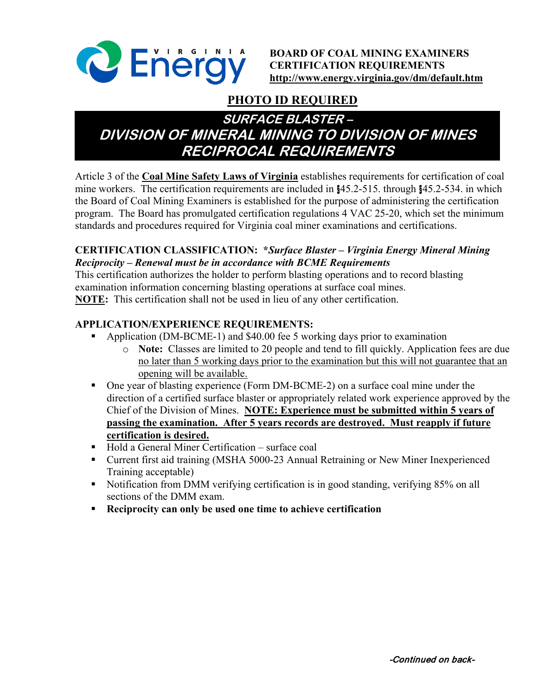

**BOARD OF COAL MINING EXAMINERS CERTIFICATION REQUIREMENTS <http://www.energy.virginia.gov/dm/default.htm>**

# **PHOTO ID REQUIRED**

# **SURFACE BLASTER – DIVISION OF MINERAL MINING TO DIVISION OF MINES RECIPROCAL REQUIREMENTS**

Article 3 of the **Coal Mine Safety Laws of Virginia** establishes requirements for certification of coal mine workers. The certification requirements are included in §45.2-515. through §45.2-534. in which the Board of Coal Mining Examiners is established for the purpose of administering the certification program. The Board has promulgated certification regulations 4 VAC 25-20, which set the minimum standards and procedures required for Virginia coal miner examinations and certifications.

#### **CERTIFICATION CLASSIFICATION: \****Surface Blaster – Virginia Energy Mineral Mining Reciprocity – Renewal must be in accordance with BCME Requirements*

This certification authorizes the holder to perform blasting operations and to record blasting examination information concerning blasting operations at surface coal mines. **NOTE:** This certification shall not be used in lieu of any other certification.

## **APPLICATION/EXPERIENCE REQUIREMENTS:**

- Application (DM-BCME-1) and \$40.00 fee 5 working days prior to examination
	- o **Note:** Classes are limited to 20 people and tend to fill quickly. Application fees are due no later than 5 working days prior to the examination but this will not guarantee that an opening will be available.
- One year of blasting experience (Form DM-BCME-2) on a surface coal mine under the direction of a certified surface blaster or appropriately related work experience approved by the Chief of the Division of Mines. **NOTE: Experience must be submitted within 5 years of passing the examination. After 5 years records are destroyed. Must reapply if future certification is desired.**
- Hold a General Miner Certification surface coal
- Current first aid training (MSHA 5000-23 Annual Retraining or New Miner Inexperienced Training acceptable)
- Notification from DMM verifying certification is in good standing, verifying 85% on all sections of the DMM exam.
- **Reciprocity can only be used one time to achieve certification**